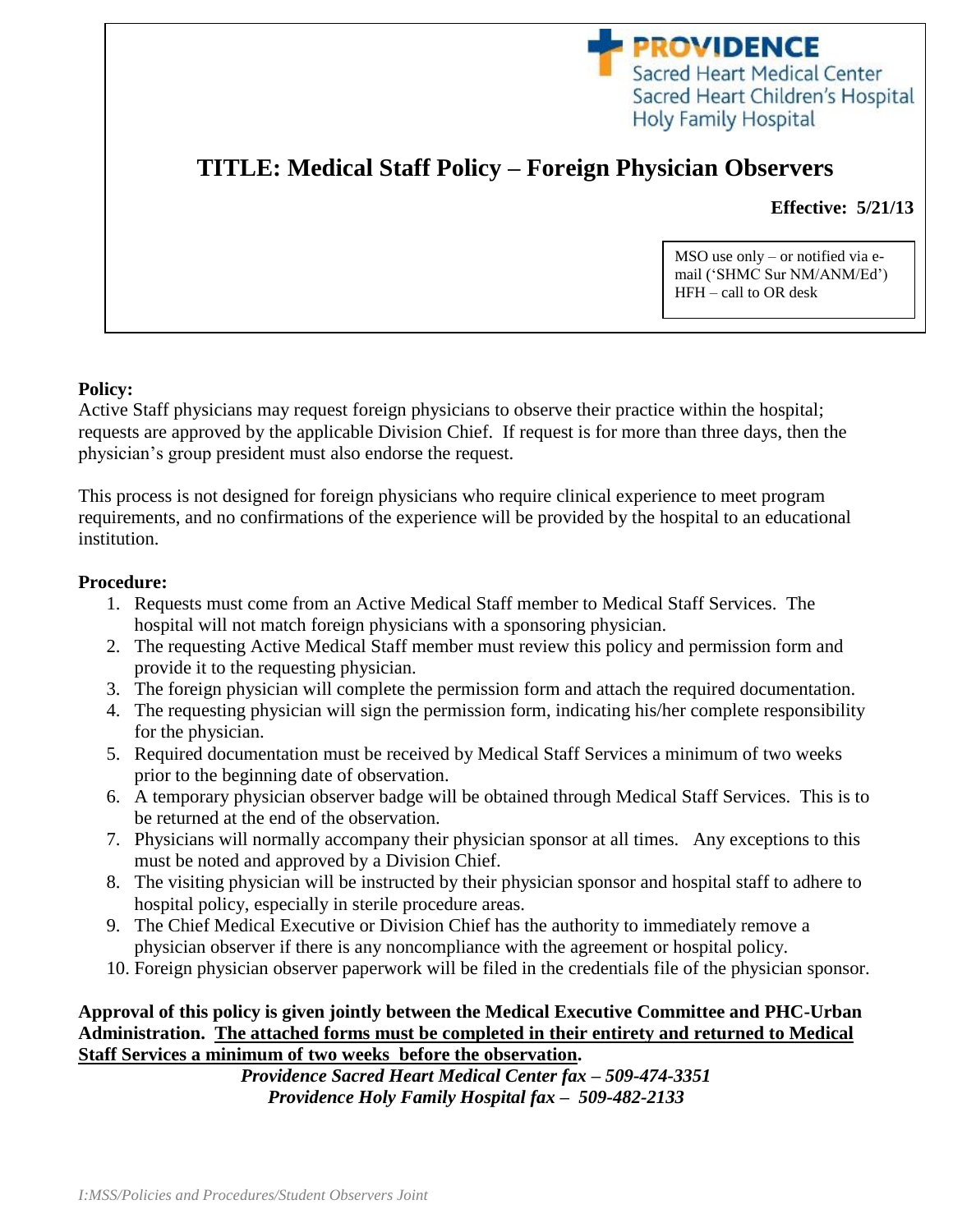

# **TITLE: Medical Staff Policy – Foreign Physician Observers**

**Effective: 5/21/13**

MSO use only – or notified via email ('SHMC Sur NM/ANM/Ed') HFH – call to OR desk

#### **Policy:**

Active Staff physicians may request foreign physicians to observe their practice within the hospital; requests are approved by the applicable Division Chief. If request is for more than three days, then the physician's group president must also endorse the request.

This process is not designed for foreign physicians who require clinical experience to meet program requirements, and no confirmations of the experience will be provided by the hospital to an educational institution.

### **Procedure:**

- 1. Requests must come from an Active Medical Staff member to Medical Staff Services. The hospital will not match foreign physicians with a sponsoring physician.
- 2. The requesting Active Medical Staff member must review this policy and permission form and provide it to the requesting physician.
- 3. The foreign physician will complete the permission form and attach the required documentation.
- 4. The requesting physician will sign the permission form, indicating his/her complete responsibility for the physician.
- 5. Required documentation must be received by Medical Staff Services a minimum of two weeks prior to the beginning date of observation.
- 6. A temporary physician observer badge will be obtained through Medical Staff Services. This is to be returned at the end of the observation.
- 7. Physicians will normally accompany their physician sponsor at all times. Any exceptions to this must be noted and approved by a Division Chief.
- 8. The visiting physician will be instructed by their physician sponsor and hospital staff to adhere to hospital policy, especially in sterile procedure areas.
- 9. The Chief Medical Executive or Division Chief has the authority to immediately remove a physician observer if there is any noncompliance with the agreement or hospital policy.
- 10. Foreign physician observer paperwork will be filed in the credentials file of the physician sponsor.

## **Approval of this policy is given jointly between the Medical Executive Committee and PHC-Urban Administration. The attached forms must be completed in their entirety and returned to Medical Staff Services a minimum of two weeks before the observation.**

*Providence Sacred Heart Medical Center fax – 509-474-3351 Providence Holy Family Hospital fax – 509-482-2133*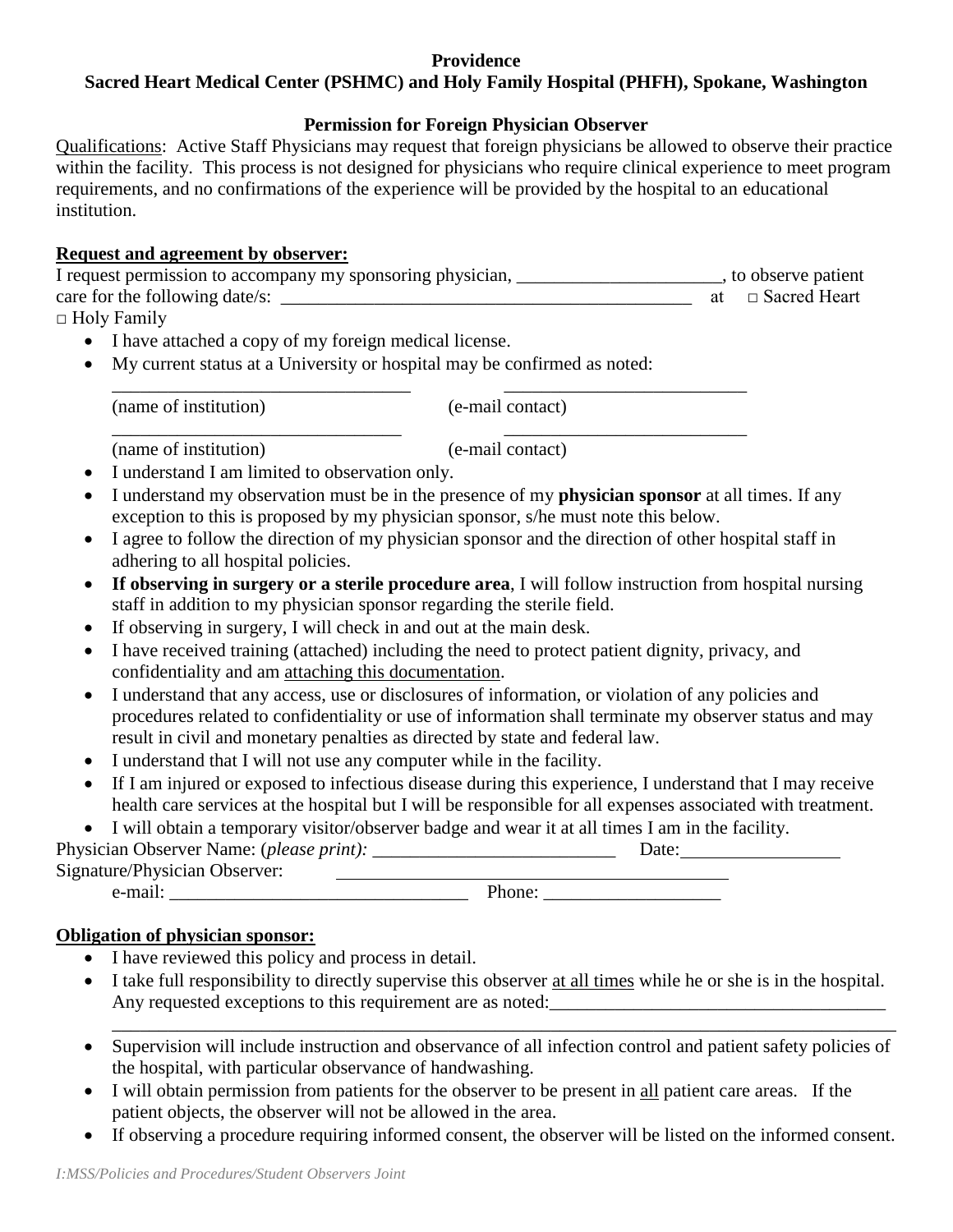## **Providence**

## **Sacred Heart Medical Center (PSHMC) and Holy Family Hospital (PHFH), Spokane, Washington**

## **Permission for Foreign Physician Observer**

Qualifications: Active Staff Physicians may request that foreign physicians be allowed to observe their practice within the facility. This process is not designed for physicians who require clinical experience to meet program requirements, and no confirmations of the experience will be provided by the hospital to an educational institution.

## **Request and agreement by observer:**

| I request permission to accompany my sponsoring physician, | to observe patient     |
|------------------------------------------------------------|------------------------|
| care for the following date/s:                             | at $\Box$ Sacred Heart |
| $\Box$ Holy Family                                         |                        |

\_\_\_\_\_\_\_\_\_\_\_\_\_\_\_\_\_\_\_\_\_\_\_\_\_\_\_\_\_\_\_\_ \_\_\_\_\_\_\_\_\_\_\_\_\_\_\_\_\_\_\_\_\_\_\_\_\_\_

- I have attached a copy of my foreign medical license.
- My current status at a University or hospital may be confirmed as noted:

(name of institution) (e-mail contact)

\_\_\_\_\_\_\_\_\_\_\_\_\_\_\_\_\_\_\_\_\_\_\_\_\_\_\_\_\_\_\_ \_\_\_\_\_\_\_\_\_\_\_\_\_\_\_\_\_\_\_\_\_\_\_\_\_\_ (name of institution) (e-mail contact)

- I understand I am limited to observation only.
- I understand my observation must be in the presence of my **physician sponsor** at all times. If any exception to this is proposed by my physician sponsor, s/he must note this below.
- I agree to follow the direction of my physician sponsor and the direction of other hospital staff in adhering to all hospital policies.
- **If observing in surgery or a sterile procedure area**, I will follow instruction from hospital nursing staff in addition to my physician sponsor regarding the sterile field.
- If observing in surgery, I will check in and out at the main desk.
- I have received training (attached) including the need to protect patient dignity, privacy, and confidentiality and am attaching this documentation.
- I understand that any access, use or disclosures of information, or violation of any policies and procedures related to confidentiality or use of information shall terminate my observer status and may result in civil and monetary penalties as directed by state and federal law.
- I understand that I will not use any computer while in the facility.
- If I am injured or exposed to infectious disease during this experience, I understand that I may receive health care services at the hospital but I will be responsible for all expenses associated with treatment.

I will obtain a temporary visitor/observer badge and wear it at all times I am in the facility.

Physician Observer Name: (*please print):* \_\_\_\_\_\_\_\_\_\_\_\_\_\_\_\_\_\_\_\_\_\_\_\_\_\_ Date: Signature/Physician Observer: e-mail: \_\_\_\_\_\_\_\_\_\_\_\_\_\_\_\_\_\_\_\_\_\_\_\_\_\_\_\_\_\_\_\_ Phone: \_\_\_\_\_\_\_\_\_\_\_\_\_\_\_\_\_\_\_

# **Obligation of physician sponsor:**

- I have reviewed this policy and process in detail.
- I take full responsibility to directly supervise this observer at all times while he or she is in the hospital. Any requested exceptions to this requirement are as noted: \_\_\_\_\_\_\_\_\_\_\_\_\_\_\_\_\_\_\_\_\_\_\_\_\_\_\_\_\_\_\_\_\_\_\_\_\_\_\_\_\_\_\_\_\_\_\_\_\_\_\_\_\_\_\_\_\_\_\_\_\_\_\_\_\_\_\_\_\_\_\_\_\_\_\_\_\_\_\_\_\_\_\_\_
- Supervision will include instruction and observance of all infection control and patient safety policies of the hospital, with particular observance of handwashing.
- I will obtain permission from patients for the observer to be present in all patient care areas. If the patient objects, the observer will not be allowed in the area.
- If observing a procedure requiring informed consent, the observer will be listed on the informed consent.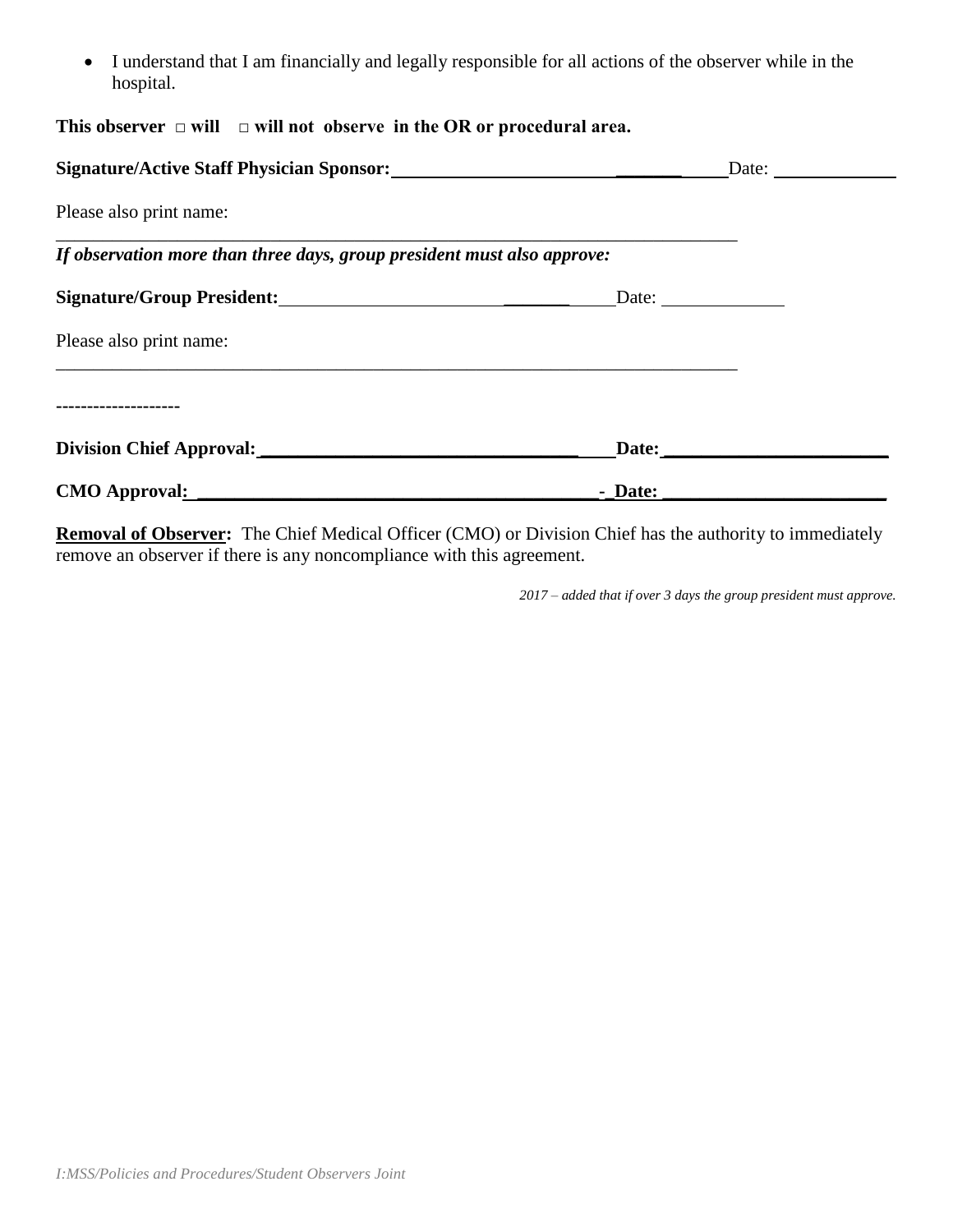I understand that I am financially and legally responsible for all actions of the observer while in the hospital.

|  |  | This observer $\Box$ will $\Box$ will not observe in the OR or procedural area. |
|--|--|---------------------------------------------------------------------------------|
|  |  |                                                                                 |

| Signature/Active Staff Physician Sponsor:                               | Date:        |  |
|-------------------------------------------------------------------------|--------------|--|
| Please also print name:                                                 |              |  |
| If observation more than three days, group president must also approve: |              |  |
| Signature/Group President:                                              | Date: $\_\_$ |  |
| Please also print name:                                                 |              |  |
| ---------------                                                         |              |  |
| Division Chief Approval:                                                | Date:        |  |
| CMO Approval:                                                           | - Date:      |  |

**Removal of Observer:** The Chief Medical Officer (CMO) or Division Chief has the authority to immediately remove an observer if there is any noncompliance with this agreement.

*2017 – added that if over 3 days the group president must approve.*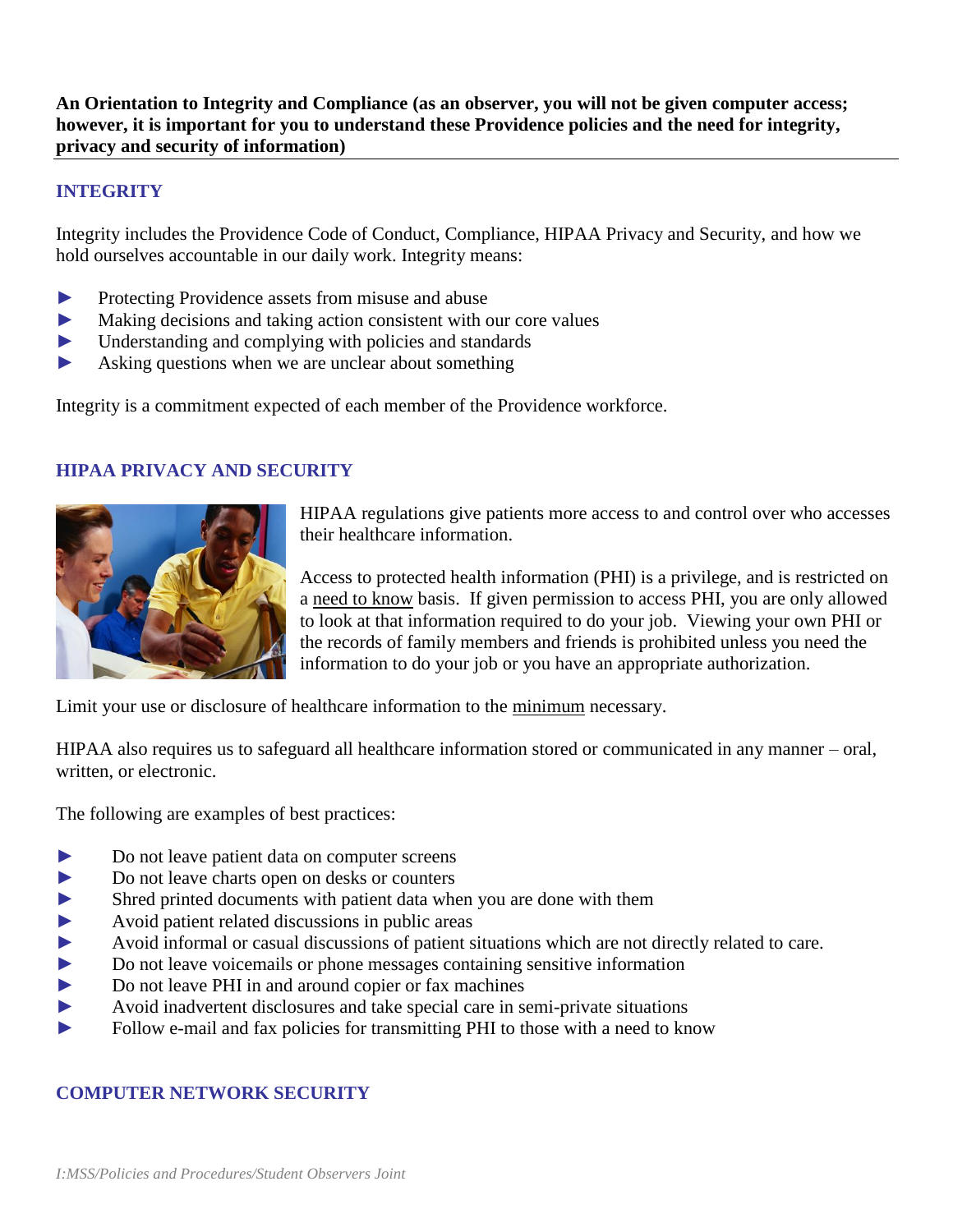**An Orientation to Integrity and Compliance (as an observer, you will not be given computer access; however, it is important for you to understand these Providence policies and the need for integrity, privacy and security of information)**

## **INTEGRITY**

Integrity includes the Providence Code of Conduct, Compliance, HIPAA Privacy and Security, and how we hold ourselves accountable in our daily work. Integrity means:

- ► Protecting Providence assets from misuse and abuse
- ► Making decisions and taking action consistent with our core values
- ► Understanding and complying with policies and standards
- ► Asking questions when we are unclear about something

Integrity is a commitment expected of each member of the Providence workforce.

### **HIPAA PRIVACY AND SECURITY**



HIPAA regulations give patients more access to and control over who accesses their healthcare information.

Access to protected health information (PHI) is a privilege, and is restricted on a need to know basis. If given permission to access PHI, you are only allowed to look at that information required to do your job. Viewing your own PHI or the records of family members and friends is prohibited unless you need the information to do your job or you have an appropriate authorization.

Limit your use or disclosure of healthcare information to the minimum necessary.

HIPAA also requires us to safeguard all healthcare information stored or communicated in any manner – oral, written, or electronic.

The following are examples of best practices:

- ► Do not leave patient data on computer screens
- ► Do not leave charts open on desks or counters
- ► Shred printed documents with patient data when you are done with them
- ► Avoid patient related discussions in public areas
- ► Avoid informal or casual discussions of patient situations which are not directly related to care.
- ► Do not leave voicemails or phone messages containing sensitive information
- ► Do not leave PHI in and around copier or fax machines
- ► Avoid inadvertent disclosures and take special care in semi-private situations
- ► Follow e-mail and fax policies for transmitting PHI to those with a need to know

## **COMPUTER NETWORK SECURITY**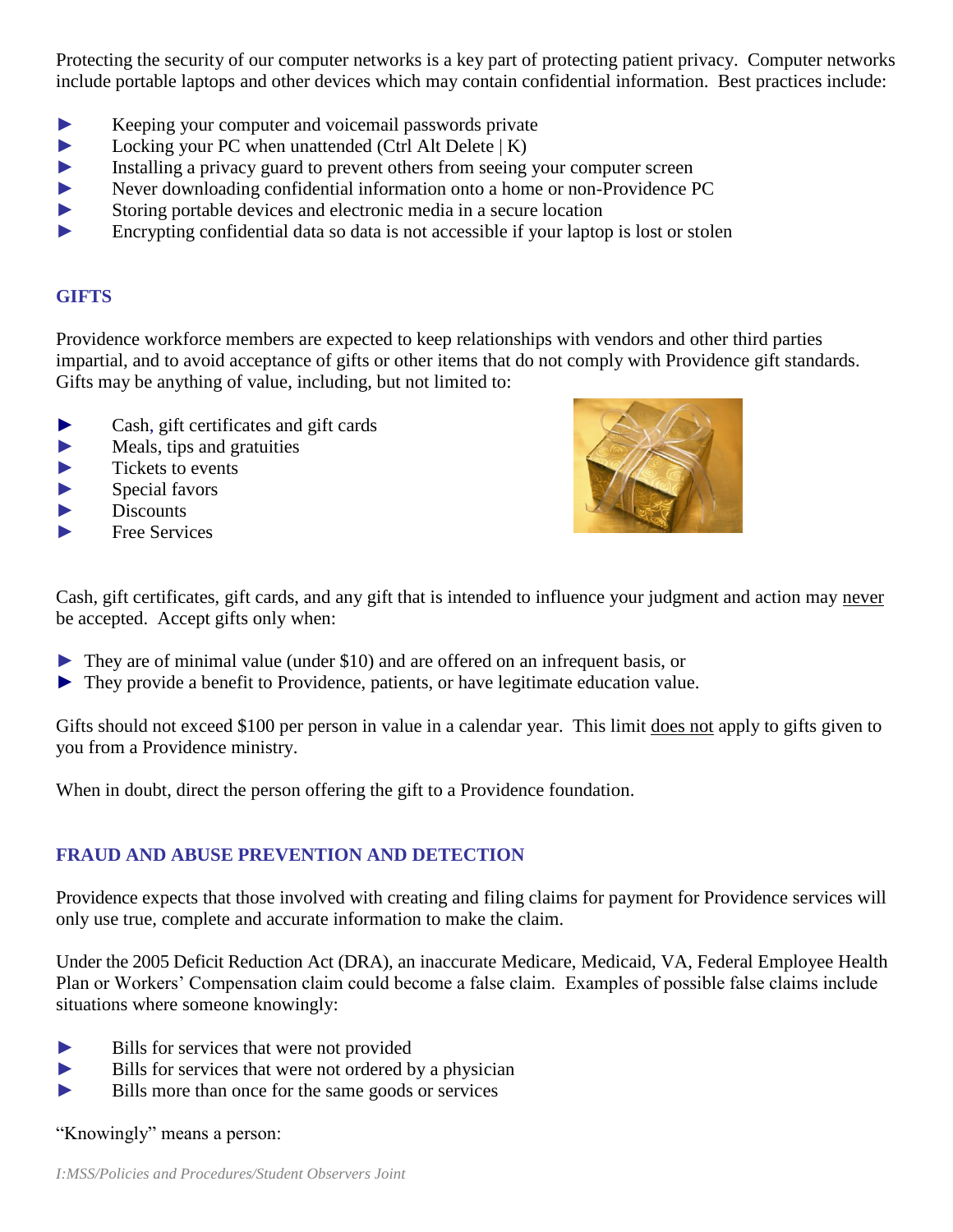Protecting the security of our computer networks is a key part of protecting patient privacy. Computer networks include portable laptops and other devices which may contain confidential information. Best practices include:

- ► Keeping your computer and voicemail passwords private
- ► Locking your PC when unattended (Ctrl Alt Delete | K)
- ► Installing a privacy guard to prevent others from seeing your computer screen
- ► Never downloading confidential information onto a home or non-Providence PC
- ► Storing portable devices and electronic media in a secure location
- ► Encrypting confidential data so data is not accessible if your laptop is lost or stolen

## **GIFTS**

Providence workforce members are expected to keep relationships with vendors and other third parties impartial, and to avoid acceptance of gifts or other items that do not comply with Providence gift standards. Gifts may be anything of value, including, but not limited to:

- ► Cash, gift certificates and gift cards
- $\blacktriangleright$  Meals, tips and gratuities
- $\blacktriangleright$  Tickets to events
- $\blacktriangleright$  Special favors
- $\blacktriangleright$  Discounts
- ► Free Services



Cash, gift certificates, gift cards, and any gift that is intended to influence your judgment and action may never be accepted. Accept gifts only when:

- $\triangleright$  They are of minimal value (under \$10) and are offered on an infrequent basis, or
- ► They provide a benefit to Providence, patients, or have legitimate education value.

Gifts should not exceed \$100 per person in value in a calendar year. This limit does not apply to gifts given to you from a Providence ministry.

When in doubt, direct the person offering the gift to a Providence foundation.

# **FRAUD AND ABUSE PREVENTION AND DETECTION**

Providence expects that those involved with creating and filing claims for payment for Providence services will only use true, complete and accurate information to make the claim.

Under the 2005 Deficit Reduction Act (DRA), an inaccurate Medicare, Medicaid, VA, Federal Employee Health Plan or Workers' Compensation claim could become a false claim. Examples of possible false claims include situations where someone knowingly:

- ► Bills for services that were not provided
- ► Bills for services that were not ordered by a physician
- ► Bills more than once for the same goods or services

"Knowingly" means a person: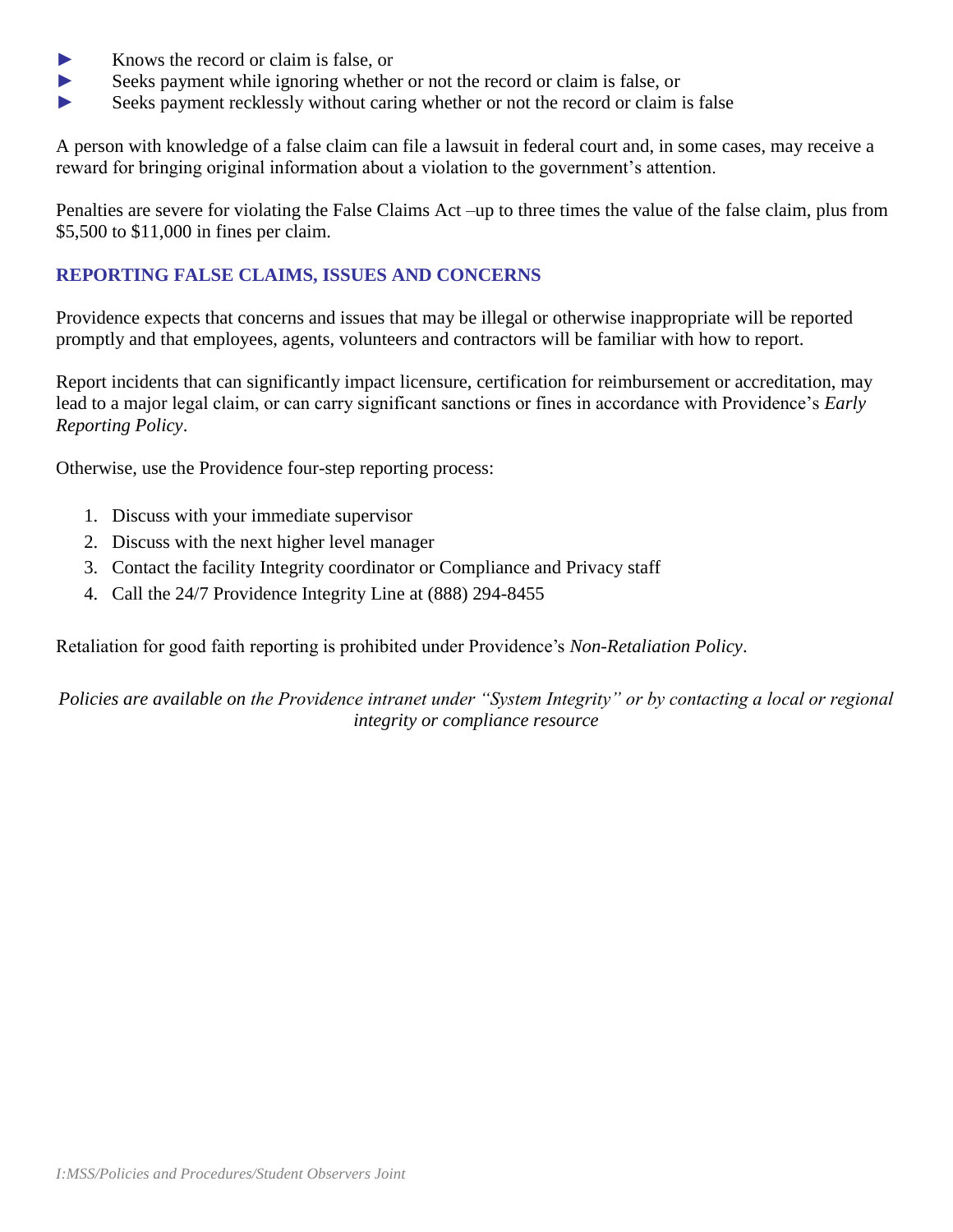- ► Knows the record or claim is false, or
- ► Seeks payment while ignoring whether or not the record or claim is false, or
- ► Seeks payment recklessly without caring whether or not the record or claim is false

A person with knowledge of a false claim can file a lawsuit in federal court and, in some cases, may receive a reward for bringing original information about a violation to the government's attention.

Penalties are severe for violating the False Claims Act –up to three times the value of the false claim, plus from \$5,500 to \$11,000 in fines per claim.

## **REPORTING FALSE CLAIMS, ISSUES AND CONCERNS**

Providence expects that concerns and issues that may be illegal or otherwise inappropriate will be reported promptly and that employees, agents, volunteers and contractors will be familiar with how to report.

Report incidents that can significantly impact licensure, certification for reimbursement or accreditation, may lead to a major legal claim, or can carry significant sanctions or fines in accordance with Providence's *Early Reporting Policy*.

Otherwise, use the Providence four-step reporting process:

- 1. Discuss with your immediate supervisor
- 2. Discuss with the next higher level manager
- 3. Contact the facility Integrity coordinator or Compliance and Privacy staff
- 4. Call the 24/7 Providence Integrity Line at (888) 294-8455

Retaliation for good faith reporting is prohibited under Providence's *Non-Retaliation Policy*.

*Policies are available on the Providence intranet under "System Integrity" or by contacting a local or regional integrity or compliance resource*